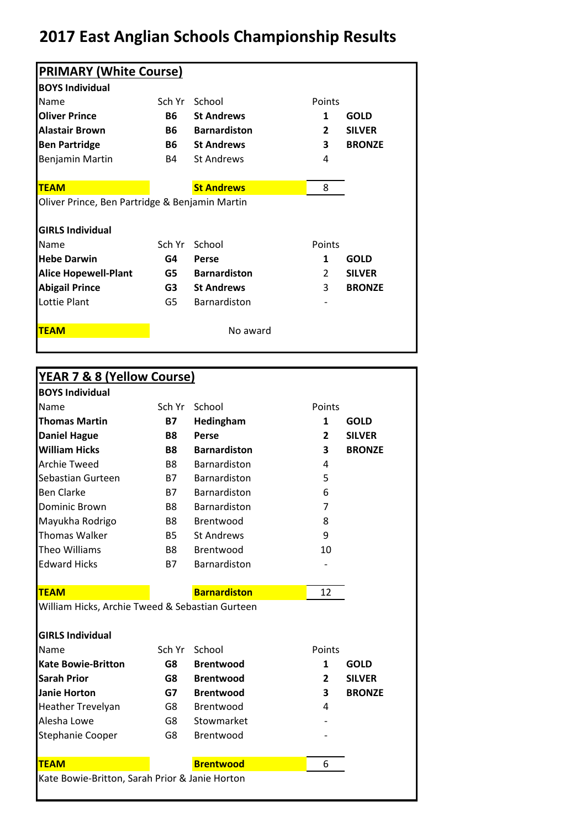## **2017 East Anglian Schools Championship Results**

| <b>PRIMARY (White Course)</b>                                                                        |           |                     |               |               |
|------------------------------------------------------------------------------------------------------|-----------|---------------------|---------------|---------------|
| <b>BOYS Individual</b>                                                                               |           |                     |               |               |
| Name                                                                                                 | Sch Yr    | School              | Points        |               |
| <b>Oliver Prince</b>                                                                                 | <b>B6</b> | <b>St Andrews</b>   | 1             | <b>GOLD</b>   |
| <b>Alastair Brown</b>                                                                                | <b>B6</b> | <b>Barnardiston</b> | 2             | <b>SILVER</b> |
| <b>Ben Partridge</b>                                                                                 | <b>B6</b> | <b>St Andrews</b>   | 3             | <b>BRONZE</b> |
| Benjamin Martin                                                                                      | <b>B4</b> | <b>St Andrews</b>   | 4             |               |
| <b>TEAM</b>                                                                                          |           | <b>St Andrews</b>   | 8             |               |
|                                                                                                      |           |                     |               |               |
|                                                                                                      |           |                     |               |               |
| Oliver Prince, Ben Partridge & Benjamin Martin                                                       |           |                     |               |               |
|                                                                                                      | Sch Yr    | School              | Points        |               |
|                                                                                                      | G4        | Perse               | 1             | <b>GOLD</b>   |
|                                                                                                      | G5        | <b>Barnardiston</b> | $\mathcal{L}$ | <b>SILVER</b> |
| <b>Abigail Prince</b>                                                                                | G3        | <b>St Andrews</b>   | 3             |               |
| <b>GIRLS Individual</b><br>Name<br><b>Hebe Darwin</b><br><b>Alice Hopewell-Plant</b><br>Lottie Plant | G5        | <b>Barnardiston</b> |               | <b>BRONZE</b> |

|                                                 | YEAR 7 & 8 (Yellow Course) |                     |                |               |
|-------------------------------------------------|----------------------------|---------------------|----------------|---------------|
| <b>BOYS Individual</b>                          |                            |                     |                |               |
| Name                                            | Sch Yr                     | School              | Points         |               |
| <b>Thomas Martin</b>                            | <b>B7</b>                  | Hedingham           | $\mathbf{1}$   | <b>GOLD</b>   |
| <b>Daniel Hague</b>                             | <b>B8</b>                  | Perse               | $\overline{2}$ | <b>SILVER</b> |
| <b>William Hicks</b>                            | <b>B8</b>                  | <b>Barnardiston</b> | 3              | <b>BRONZE</b> |
| <b>Archie Tweed</b>                             | B <sub>8</sub>             | Barnardiston        | 4              |               |
| Sebastian Gurteen                               | <b>B7</b>                  | Barnardiston        | 5              |               |
| <b>Ben Clarke</b>                               | <b>B7</b>                  | Barnardiston        | 6              |               |
| Dominic Brown                                   | B <sub>8</sub>             | Barnardiston        | 7              |               |
| Mayukha Rodrigo                                 | B <sub>8</sub>             | Brentwood           | 8              |               |
| <b>Thomas Walker</b>                            | <b>B5</b>                  | <b>St Andrews</b>   | 9              |               |
| <b>Theo Williams</b>                            | B <sub>8</sub>             | Brentwood           | 10             |               |
| <b>Edward Hicks</b>                             | <b>B7</b>                  | Barnardiston        |                |               |
| <b>TEAM</b>                                     |                            | <b>Barnardiston</b> | 12             |               |
| William Hicks, Archie Tweed & Sebastian Gurteen |                            |                     |                |               |
| <b>GIRLS Individual</b>                         |                            |                     |                |               |
| Name                                            | Sch Yr                     | School              | Points         |               |
| <b>Kate Bowie-Britton</b>                       | G8                         | <b>Brentwood</b>    | 1              | <b>GOLD</b>   |
| <b>Sarah Prior</b>                              | G8                         | <b>Brentwood</b>    | 2              | <b>SILVER</b> |
| <b>Janie Horton</b>                             | G7                         | <b>Brentwood</b>    | 3              | <b>BRONZE</b> |
|                                                 | G8                         | Brentwood           | 4              |               |
| Heather Trevelyan                               |                            |                     |                |               |
| Alesha Lowe                                     | G8                         | Stowmarket          |                |               |
| Stephanie Cooper                                | G8                         | Brentwood           |                |               |